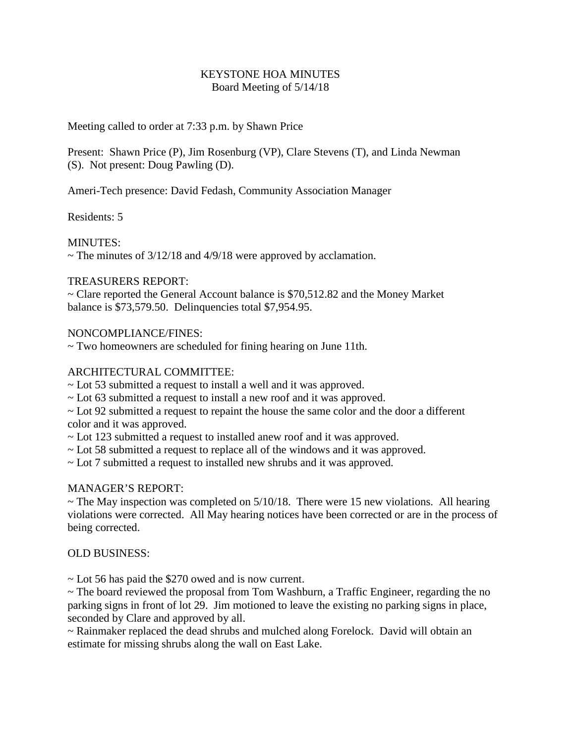## KEYSTONE HOA MINUTES Board Meeting of 5/14/18

Meeting called to order at 7:33 p.m. by Shawn Price

Present: Shawn Price (P), Jim Rosenburg (VP), Clare Stevens (T), and Linda Newman (S). Not present: Doug Pawling (D).

Ameri-Tech presence: David Fedash, Community Association Manager

Residents: 5

MINUTES:

 $\sim$  The minutes of 3/12/18 and 4/9/18 were approved by acclamation.

## TREASURERS REPORT:

~ Clare reported the General Account balance is \$70,512.82 and the Money Market balance is \$73,579.50. Delinquencies total \$7,954.95.

## NONCOMPLIANCE/FINES:

 $\sim$  Two homeowners are scheduled for fining hearing on June 11th.

## ARCHITECTURAL COMMITTEE:

- ~ Lot 53 submitted a request to install a well and it was approved.
- ~ Lot 63 submitted a request to install a new roof and it was approved.
- $\sim$  Lot 92 submitted a request to repaint the house the same color and the door a different color and it was approved.
- ~ Lot 123 submitted a request to installed anew roof and it was approved.
- ~ Lot 58 submitted a request to replace all of the windows and it was approved.
- ~ Lot 7 submitted a request to installed new shrubs and it was approved.

# MANAGER'S REPORT:

 $\sim$  The May inspection was completed on 5/10/18. There were 15 new violations. All hearing violations were corrected. All May hearing notices have been corrected or are in the process of being corrected.

#### OLD BUSINESS:

 $\sim$  Lot 56 has paid the \$270 owed and is now current.

~ The board reviewed the proposal from Tom Washburn, a Traffic Engineer, regarding the no parking signs in front of lot 29. Jim motioned to leave the existing no parking signs in place, seconded by Clare and approved by all.

~ Rainmaker replaced the dead shrubs and mulched along Forelock. David will obtain an estimate for missing shrubs along the wall on East Lake.